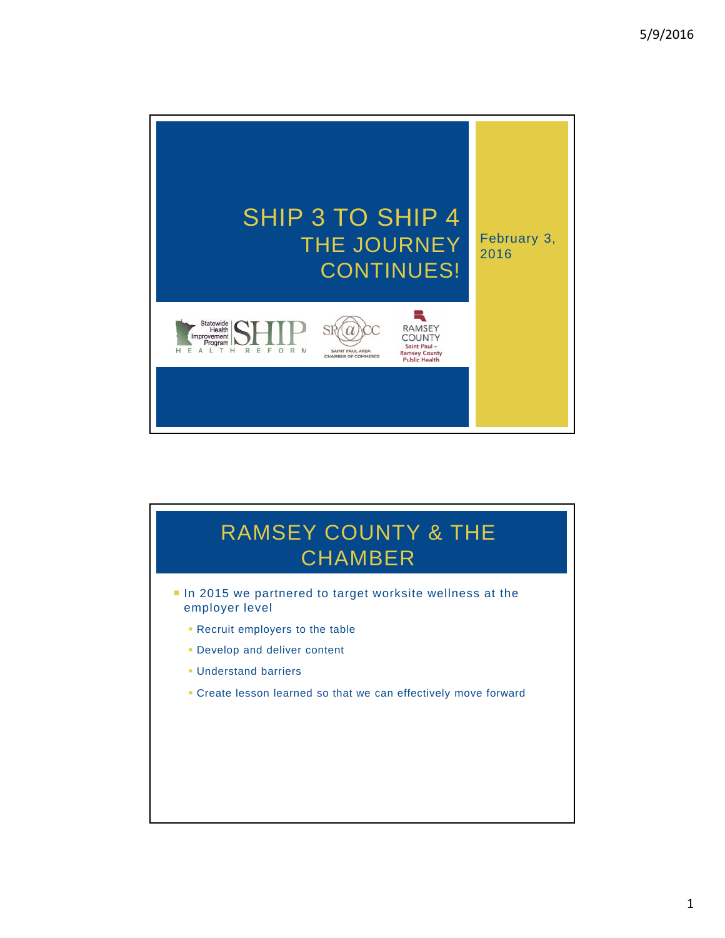

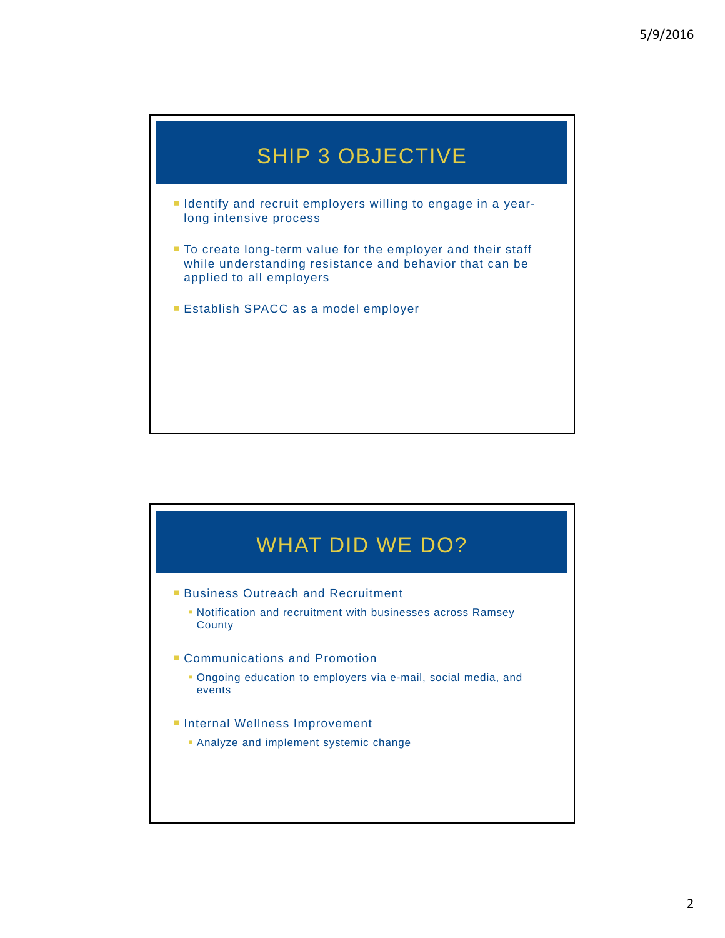

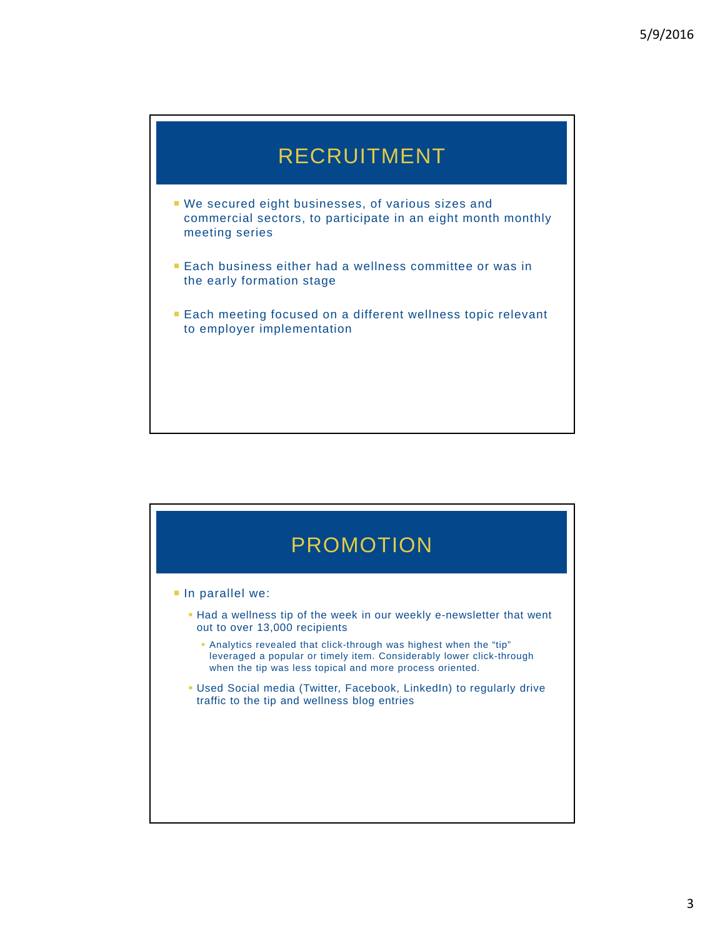

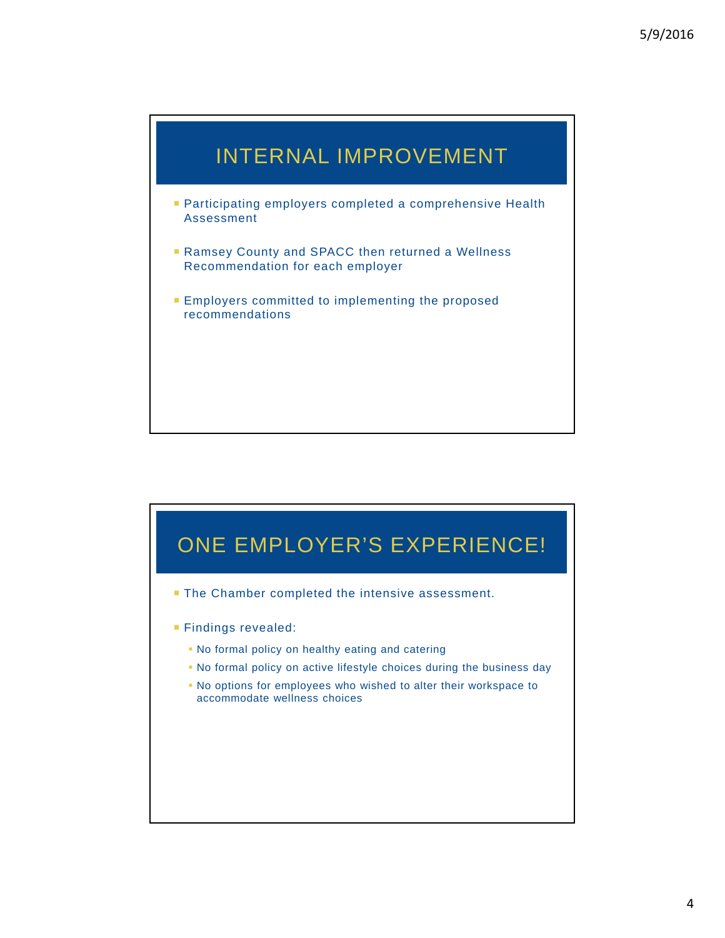

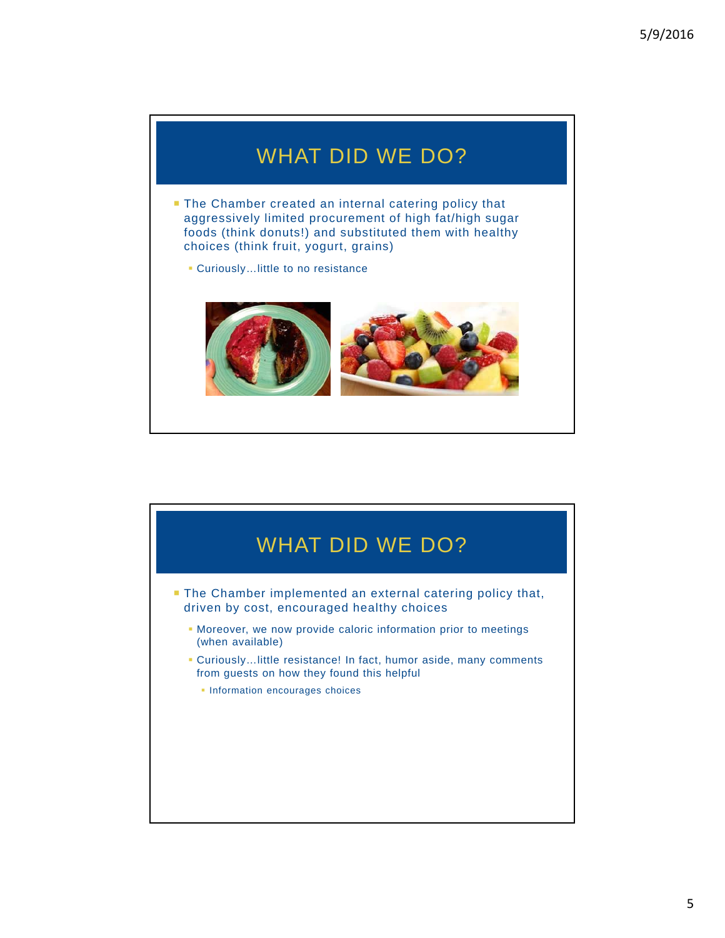## WHAT DID WE DO?

- **The Chamber created an internal catering policy that** aggressively limited procurement of high fat/high sugar foods (think donuts!) and substituted them with healthy choices (think fruit, yogurt, grains)
	- Curiously…little to no resistance



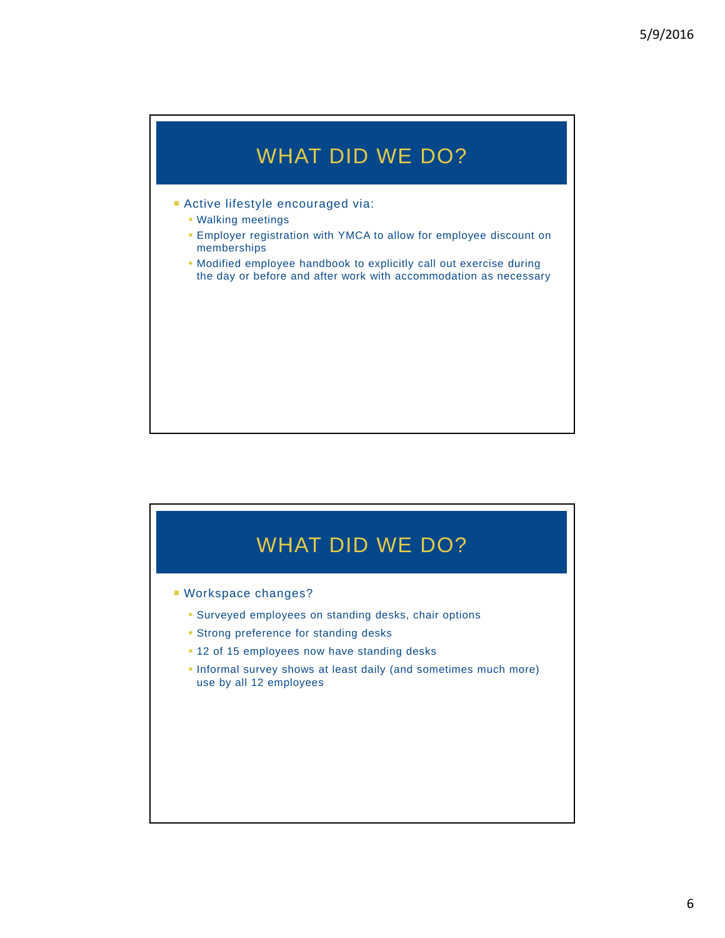## WHAT DID WE DO?

- Active lifestyle encouraged via:
	- Walking meetings
	- Employer registration with YMCA to allow for employee discount on memberships
	- Modified employee handbook to explicitly call out exercise during the day or before and after work with accommodation as necessary

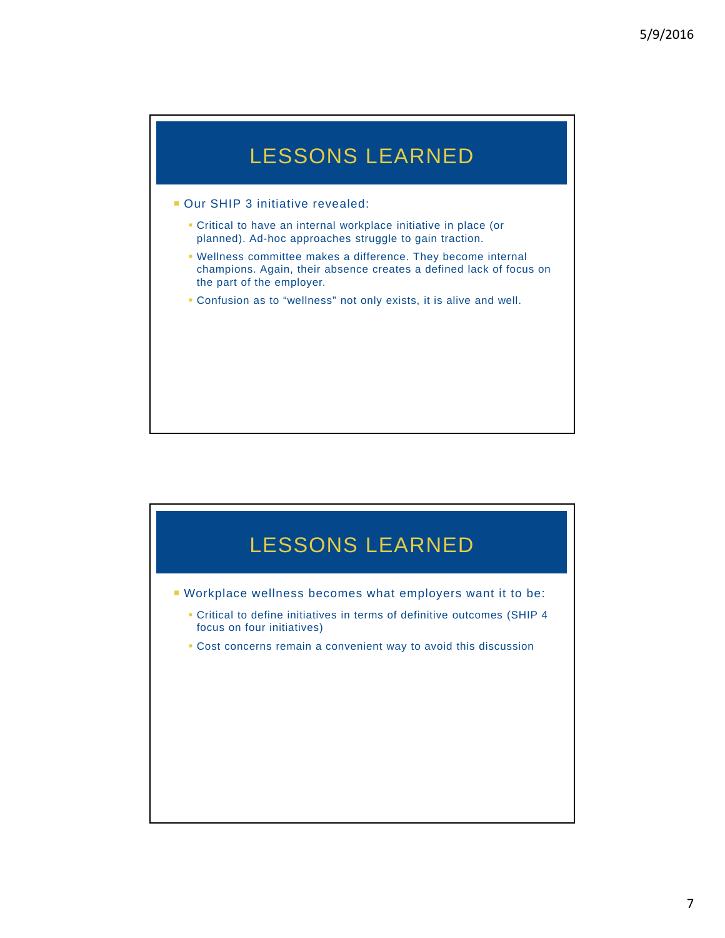## LESSONS LEARNED

- **Our SHIP 3 initiative revealed:** 
	- Critical to have an internal workplace initiative in place (or planned). Ad-hoc approaches struggle to gain traction.
	- Wellness committee makes a difference. They become internal champions. Again, their absence creates a defined lack of focus on the part of the employer.
	- Confusion as to "wellness" not only exists, it is alive and well.

## LESSONS LEARNED

- Workplace wellness becomes what employers want it to be:
	- Critical to define initiatives in terms of definitive outcomes (SHIP 4 focus on four initiatives)
	- Cost concerns remain a convenient way to avoid this discussion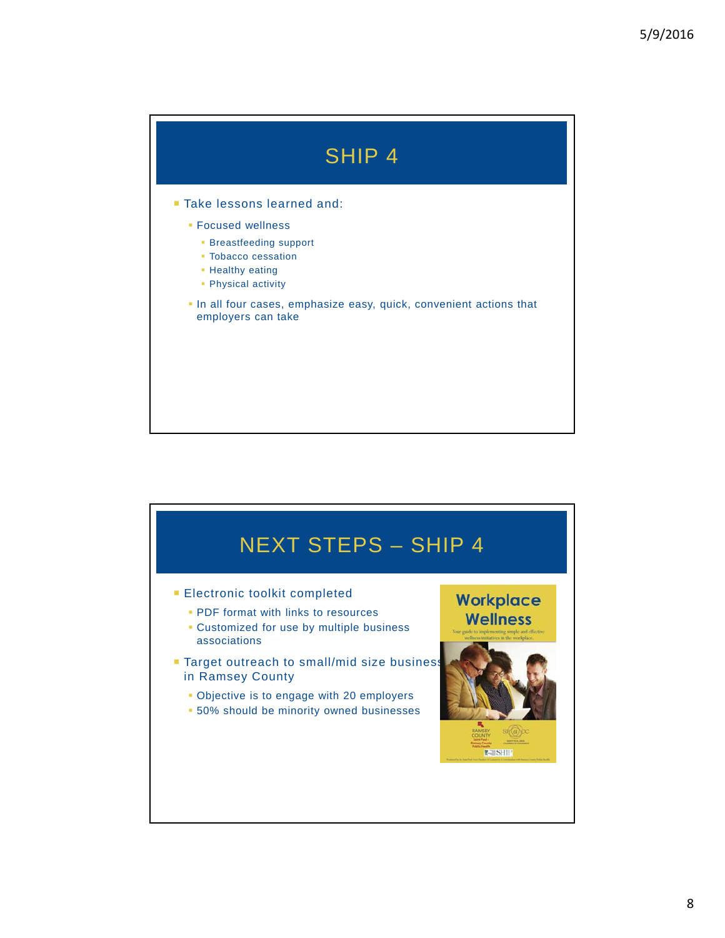